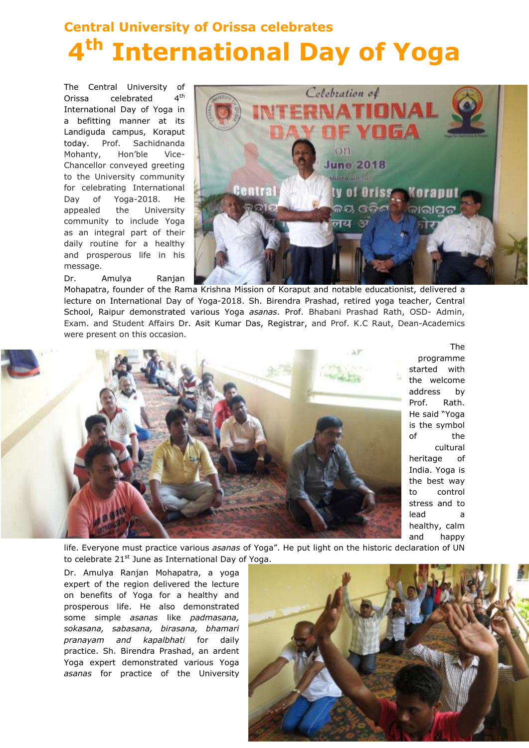## **Central University of Orissa celebrates 4 th International Day of Yoga**

The Central University of Orissa celebrated 4  $4<sup>th</sup>$ International Day of Yoga in a befitting manner at its Landiguda campus, Koraput today. Prof. Sachidnanda Mohanty, Hon'ble Vice-Chancellor conveyed greeting to the University community for celebrating International Day of Yoga-2018. He appealed the University community to include Yoga as an integral part of their daily routine for a healthy and prosperous life in his message.

Dr. Amulya Ranjan



Mohapatra, founder of the Rama Krishna Mission of Koraput and notable educationist, delivered a lecture on International Day of Yoga-2018. Sh. Birendra Prashad, retired yoga teacher, Central School, Raipur demonstrated various Yoga *asanas*. Prof. Bhabani Prashad Rath, OSD- Admin, Exam. and Student Affairs Dr. Asit Kumar Das, Registrar, and Prof. K.C Raut, Dean-Academics were present on this occasion.



The programme started with the welcome address by Prof. Rath. He said "Yoga is the symbol of the cultural heritage of India. Yoga is the best way to control stress and to lead a healthy, calm and happy

life. Everyone must practice various *asanas* of Yoga". He put light on the historic declaration of UN to celebrate 21<sup>st</sup> June as International Day of Yoga.

Dr. Amulya Ranjan Mohapatra, a yoga expert of the region delivered the lecture on benefits of Yoga for a healthy and prosperous life. He also demonstrated some simple *asanas* like *padmasana, sokasana, sabasana, birasana, bhamari pranayam and kapalbhati* for daily practice. Sh. Birendra Prashad, an ardent Yoga expert demonstrated various Yoga *asanas* for practice of the University